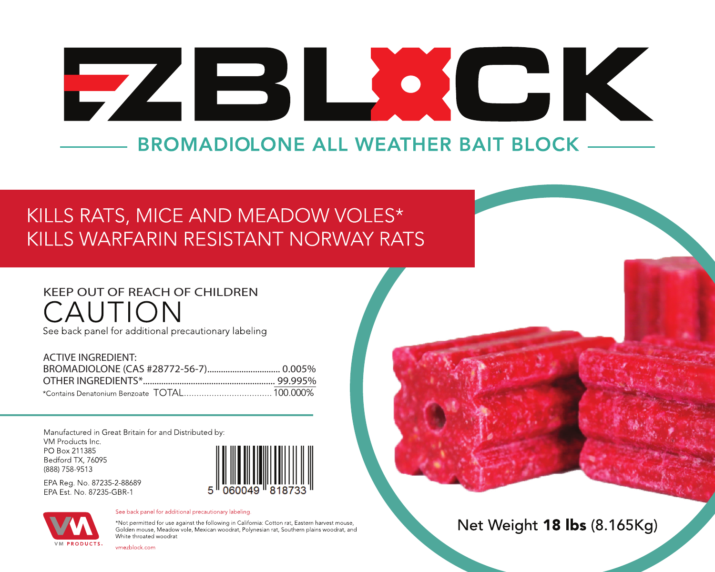# CK EZESI  $\begin{pmatrix} 1 & 1 \\ 1 & 1 \end{pmatrix}$ **BROMADIOLONE ALL WEATHER BAIT BLOCK**

## KILLS RATS, MICE AND MEADOW VOLES\* KILLS WARFARIN RESISTANT NORWAY RATS

# **KEEP OUT OF REACH OF CHILDREN**

See back panel for additional precautionary labeling

| <b>ACTIVE INGREDIENT:</b> |  |
|---------------------------|--|
|                           |  |
|                           |  |
|                           |  |

Manufactured in Great Britain for and Distributed by: VM Products Inc. PO Box 211385 Bedford TX, 76095 (888) 758-9513

EPA Reg. No. 87235-2-88689 EPA Est. No. 87235-GBR-1





See back panel for additional precautionary labeling.

\*Not permitted for use against the following in California: Cotton rat, Eastern harvest mouse, Golden mouse, Meadow vole, Mexican woodrat, Polynesian rat, Southern plains woodrat, and White throated woodrat

vmezblock.com

Net Weight 18 lbs (8.165Kg)